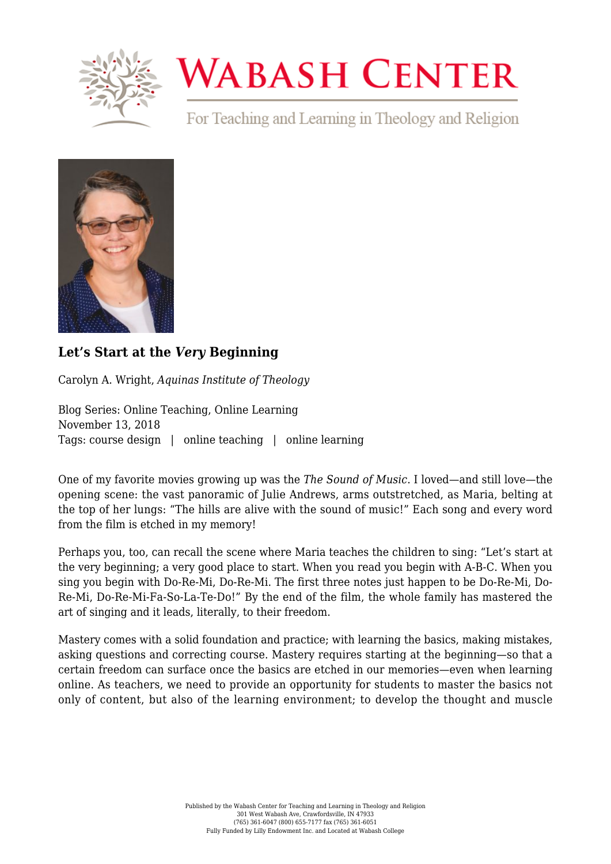

## **WABASH CENTER**

For Teaching and Learning in Theology and Religion



## **[Let's Start at the](https://www.wabashcenter.wabash.edu/2018/11/lets-start-at-the-very-beginning/)** *[Very](https://www.wabashcenter.wabash.edu/2018/11/lets-start-at-the-very-beginning/)* **[Beginning](https://www.wabashcenter.wabash.edu/2018/11/lets-start-at-the-very-beginning/)**

Carolyn A. Wright, *Aquinas Institute of Theology*

Blog Series: Online Teaching, Online Learning November 13, 2018 Tags: course design | online teaching | online learning

One of my favorite movies growing up was the *The Sound of Music*. I loved—and still love—the opening scene: the vast panoramic of Julie Andrews, arms outstretched, as Maria, belting at the top of her lungs: "The hills are alive with the sound of music!" Each song and every word from the film is etched in my memory!

Perhaps you, too, can recall the scene where Maria teaches the children to sing: "Let's start at the very beginning; a very good place to start. When you read you begin with A-B-C. When you sing you begin with Do-Re-Mi, Do-Re-Mi. The first three notes just happen to be Do-Re-Mi, Do-Re-Mi, Do-Re-Mi-Fa-So-La-Te-Do!" By the end of the film, the whole family has mastered the art of singing and it leads, literally, to their freedom.

Mastery comes with a solid foundation and practice; with learning the basics, making mistakes, asking questions and correcting course. Mastery requires starting at the beginning—so that a certain freedom can surface once the basics are etched in our memories—even when learning online. As teachers, we need to provide an opportunity for students to master the basics not only of content, but also of the learning environment; to develop the thought and muscle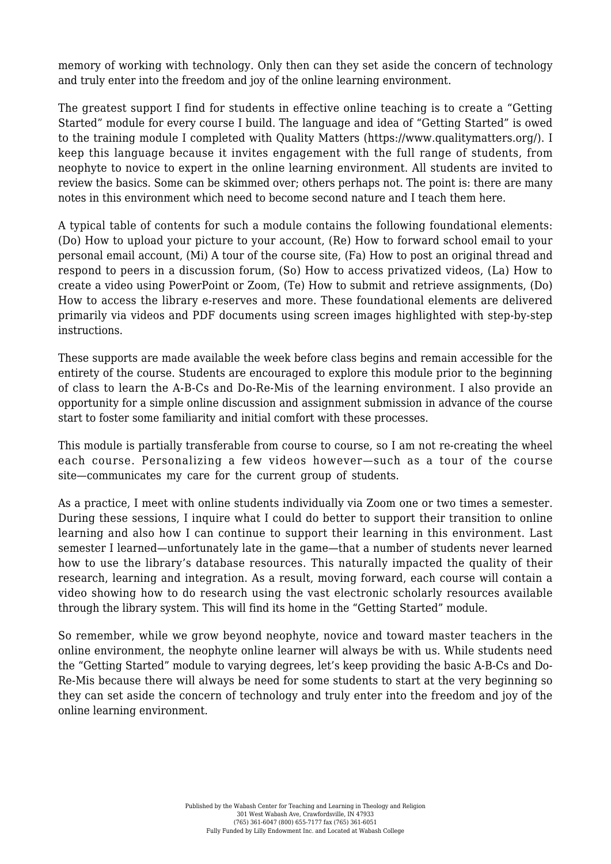memory of working with technology. Only then can they set aside the concern of technology and truly enter into the freedom and joy of the online learning environment.

The greatest support I find for students in effective online teaching is to create a "Getting Started" module for every course I build. The language and idea of "Getting Started" is owed to the training module I completed with Quality Matters (https://www.qualitymatters.org/). I keep this language because it invites engagement with the full range of students, from neophyte to novice to expert in the online learning environment. All students are invited to review the basics. Some can be skimmed over; others perhaps not. The point is: there are many notes in this environment which need to become second nature and I teach them here.

A typical table of contents for such a module contains the following foundational elements: (Do) How to upload your picture to your account, (Re) How to forward school email to your personal email account, (Mi) A tour of the course site, (Fa) How to post an original thread and respond to peers in a discussion forum, (So) How to access privatized videos, (La) How to create a video using PowerPoint or Zoom, (Te) How to submit and retrieve assignments, (Do) How to access the library e-reserves and more. These foundational elements are delivered primarily via videos and PDF documents using screen images highlighted with step-by-step instructions.

These supports are made available the week before class begins and remain accessible for the entirety of the course. Students are encouraged to explore this module prior to the beginning of class to learn the A-B-Cs and Do-Re-Mis of the learning environment. I also provide an opportunity for a simple online discussion and assignment submission in advance of the course start to foster some familiarity and initial comfort with these processes.

This module is partially transferable from course to course, so I am not re-creating the wheel each course. Personalizing a few videos however—such as a tour of the course site—communicates my care for the current group of students.

As a practice, I meet with online students individually via Zoom one or two times a semester. During these sessions, I inquire what I could do better to support their transition to online learning and also how I can continue to support their learning in this environment. Last semester I learned—unfortunately late in the game—that a number of students never learned how to use the library's database resources. This naturally impacted the quality of their research, learning and integration. As a result, moving forward, each course will contain a video showing how to do research using the vast electronic scholarly resources available through the library system. This will find its home in the "Getting Started" module.

So remember, while we grow beyond neophyte, novice and toward master teachers in the online environment, the neophyte online learner will always be with us. While students need the "Getting Started" module to varying degrees, let's keep providing the basic A-B-Cs and Do-Re-Mis because there will always be need for some students to start at the very beginning so they can set aside the concern of technology and truly enter into the freedom and joy of the online learning environment.